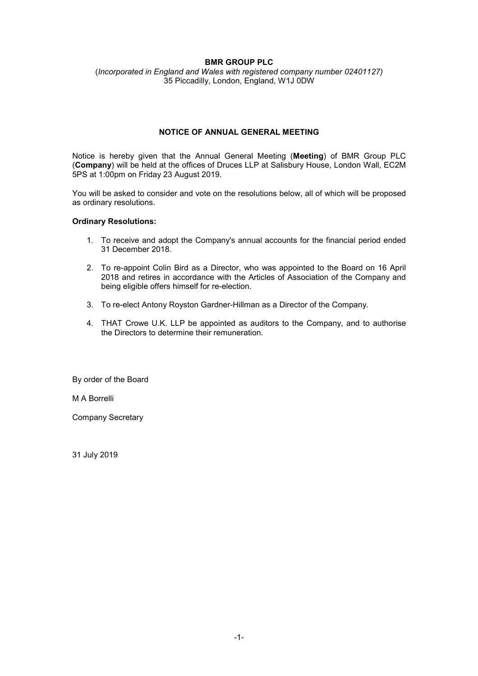## **BMR GROUP PLC**

(*Incorporated in England and Wales with registered company number 02401127)*  35 Piccadilly, London, England, W1J 0DW

# **NOTICE OF ANNUAL GENERAL MEETING**

Notice is hereby given that the Annual General Meeting (**Meeting**) of BMR Group PLC (**Company**) will be held at the offices of Druces LLP at Salisbury House, London Wall, EC2M 5PS at 1:00pm on Friday 23 August 2019.

You will be asked to consider and vote on the resolutions below, all of which will be proposed as ordinary resolutions.

#### **Ordinary Resolutions:**

- 1. To receive and adopt the Company's annual accounts for the financial period ended 31 December 2018.
- 2. To re-appoint Colin Bird as a Director, who was appointed to the Board on 16 April 2018 and retires in accordance with the Articles of Association of the Company and being eligible offers himself for re-election.
- 3. To re-elect Antony Royston Gardner-Hillman as a Director of the Company.
- 4. THAT Crowe U.K. LLP be appointed as auditors to the Company, and to authorise the Directors to determine their remuneration.

By order of the Board

M A Borrelli

Company Secretary

31 July 2019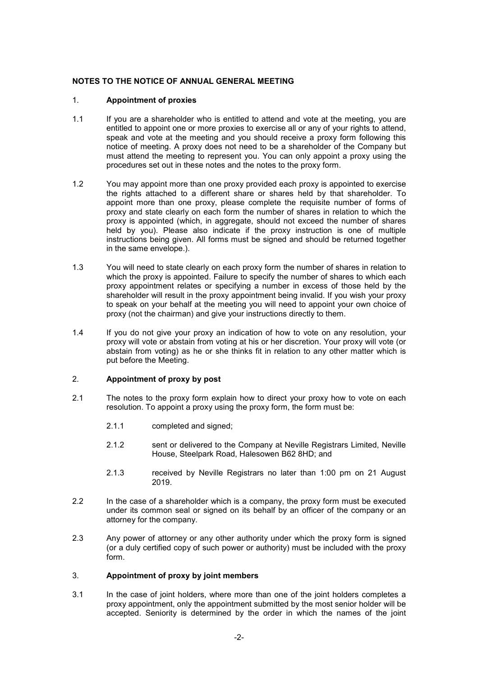## **NOTES TO THE NOTICE OF ANNUAL GENERAL MEETING**

## 1. **Appointment of proxies**

- 1.1 If you are a shareholder who is entitled to attend and vote at the meeting, you are entitled to appoint one or more proxies to exercise all or any of your rights to attend, speak and vote at the meeting and you should receive a proxy form following this notice of meeting. A proxy does not need to be a shareholder of the Company but must attend the meeting to represent you. You can only appoint a proxy using the procedures set out in these notes and the notes to the proxy form.
- 1.2 You may appoint more than one proxy provided each proxy is appointed to exercise the rights attached to a different share or shares held by that shareholder. To appoint more than one proxy, please complete the requisite number of forms of proxy and state clearly on each form the number of shares in relation to which the proxy is appointed (which, in aggregate, should not exceed the number of shares held by you). Please also indicate if the proxy instruction is one of multiple instructions being given. All forms must be signed and should be returned together in the same envelope.).
- 1.3 You will need to state clearly on each proxy form the number of shares in relation to which the proxy is appointed. Failure to specify the number of shares to which each proxy appointment relates or specifying a number in excess of those held by the shareholder will result in the proxy appointment being invalid. If you wish your proxy to speak on your behalf at the meeting you will need to appoint your own choice of proxy (not the chairman) and give your instructions directly to them.
- 1.4 If you do not give your proxy an indication of how to vote on any resolution, your proxy will vote or abstain from voting at his or her discretion. Your proxy will vote (or abstain from voting) as he or she thinks fit in relation to any other matter which is put before the Meeting.

## 2. **Appointment of proxy by post**

- 2.1 The notes to the proxy form explain how to direct your proxy how to vote on each resolution. To appoint a proxy using the proxy form, the form must be:
	- 2.1.1 completed and signed;
	- 2.1.2 sent or delivered to the Company at Neville Registrars Limited, Neville House, Steelpark Road, Halesowen B62 8HD; and
	- 2.1.3 received by Neville Registrars no later than 1:00 pm on 21 August 2019.
- 2.2 In the case of a shareholder which is a company, the proxy form must be executed under its common seal or signed on its behalf by an officer of the company or an attorney for the company.
- 2.3 Any power of attorney or any other authority under which the proxy form is signed (or a duly certified copy of such power or authority) must be included with the proxy form.

#### 3. **Appointment of proxy by joint members**

3.1 In the case of joint holders, where more than one of the joint holders completes a proxy appointment, only the appointment submitted by the most senior holder will be accepted. Seniority is determined by the order in which the names of the joint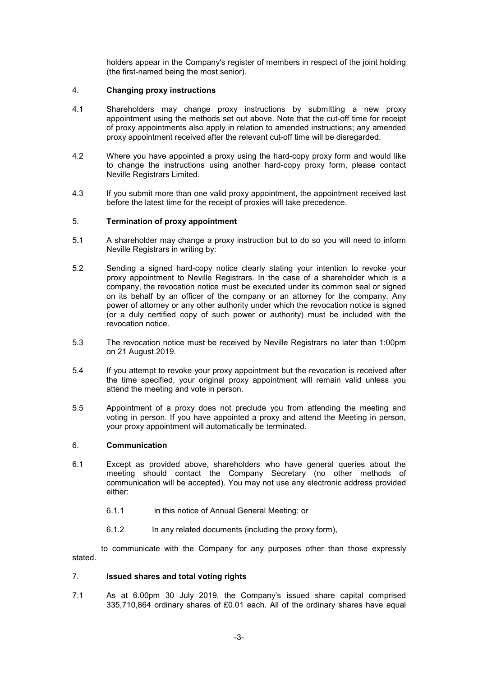holders appear in the Company's register of members in respect of the joint holding (the first-named being the most senior).

#### 4. **Changing proxy instructions**

- 4.1 Shareholders may change proxy instructions by submitting a new proxy appointment using the methods set out above. Note that the cut-off time for receipt of proxy appointments also apply in relation to amended instructions; any amended proxy appointment received after the relevant cut-off time will be disregarded.
- 4.2 Where you have appointed a proxy using the hard-copy proxy form and would like to change the instructions using another hard-copy proxy form, please contact Neville Registrars Limited.
- 4.3 If you submit more than one valid proxy appointment, the appointment received last before the latest time for the receipt of proxies will take precedence.

#### 5. **Termination of proxy appointment**

- 5.1 A shareholder may change a proxy instruction but to do so you will need to inform Neville Registrars in writing by:
- 5.2 Sending a signed hard-copy notice clearly stating your intention to revoke your proxy appointment to Neville Registrars. In the case of a shareholder which is a company, the revocation notice must be executed under its common seal or signed on its behalf by an officer of the company or an attorney for the company. Any power of attorney or any other authority under which the revocation notice is signed (or a duly certified copy of such power or authority) must be included with the revocation notice.
- 5.3 The revocation notice must be received by Neville Registrars no later than 1:00pm on 21 August 2019.
- 5.4 If you attempt to revoke your proxy appointment but the revocation is received after the time specified, your original proxy appointment will remain valid unless you attend the meeting and vote in person.
- 5.5 Appointment of a proxy does not preclude you from attending the meeting and voting in person. If you have appointed a proxy and attend the Meeting in person, your proxy appointment will automatically be terminated.

## 6. **Communication**

- 6.1 Except as provided above, shareholders who have general queries about the meeting should contact the Company Secretary (no other methods of communication will be accepted). You may not use any electronic address provided either:
	- 6.1.1 in this notice of Annual General Meeting; or
	- 6.1.2 In any related documents (including the proxy form),

to communicate with the Company for any purposes other than those expressly stated.

## 7. **Issued shares and total voting rights**

7.1 As at 6.00pm 30 July 2019, the Company's issued share capital comprised 335,710,864 ordinary shares of £0.01 each. All of the ordinary shares have equal